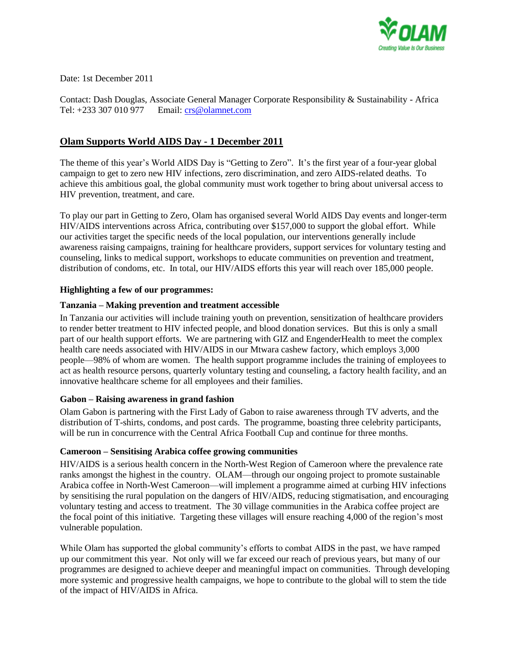

Date: 1st December 2011

Contact: Dash Douglas, Associate General Manager Corporate Responsibility & Sustainability - Africa Tel: +233 307 010 977 Email: [crs@olamnet.com](mailto:crs@olamnet.com)

# **Olam Supports World AIDS Day - 1 December 2011**

The theme of this year's World AIDS Day is "Getting to Zero". It's the first year of a four-year global campaign to get to zero new HIV infections, zero discrimination, and zero AIDS-related deaths. To achieve this ambitious goal, the global community must work together to bring about universal access to HIV prevention, treatment, and care.

To play our part in Getting to Zero, Olam has organised several World AIDS Day events and longer-term HIV/AIDS interventions across Africa, contributing over \$157,000 to support the global effort. While our activities target the specific needs of the local population, our interventions generally include awareness raising campaigns, training for healthcare providers, support services for voluntary testing and counseling, links to medical support, workshops to educate communities on prevention and treatment, distribution of condoms, etc. In total, our HIV/AIDS efforts this year will reach over 185,000 people.

# **Highlighting a few of our programmes:**

## **Tanzania – Making prevention and treatment accessible**

In Tanzania our activities will include training youth on prevention, sensitization of healthcare providers to render better treatment to HIV infected people, and blood donation services. But this is only a small part of our health support efforts. We are partnering with GIZ and EngenderHealth to meet the complex health care needs associated with HIV/AIDS in our Mtwara cashew factory, which employs 3,000 people—98% of whom are women. The health support programme includes the training of employees to act as health resource persons, quarterly voluntary testing and counseling, a factory health facility, and an innovative healthcare scheme for all employees and their families.

#### **Gabon – Raising awareness in grand fashion**

Olam Gabon is partnering with the First Lady of Gabon to raise awareness through TV adverts, and the distribution of T-shirts, condoms, and post cards. The programme, boasting three celebrity participants, will be run in concurrence with the Central Africa Football Cup and continue for three months.

# **Cameroon – Sensitising Arabica coffee growing communities**

HIV/AIDS is a serious health concern in the North-West Region of Cameroon where the prevalence rate ranks amongst the highest in the country. OLAM—through our ongoing project to promote sustainable Arabica coffee in North-West Cameroon—will implement a programme aimed at curbing HIV infections by sensitising the rural population on the dangers of HIV/AIDS, reducing stigmatisation, and encouraging voluntary testing and access to treatment. The 30 village communities in the Arabica coffee project are the focal point of this initiative. Targeting these villages will ensure reaching 4,000 of the region's most vulnerable population.

While Olam has supported the global community's efforts to combat AIDS in the past, we have ramped up our commitment this year. Not only will we far exceed our reach of previous years, but many of our programmes are designed to achieve deeper and meaningful impact on communities. Through developing more systemic and progressive health campaigns, we hope to contribute to the global will to stem the tide of the impact of HIV/AIDS in Africa.